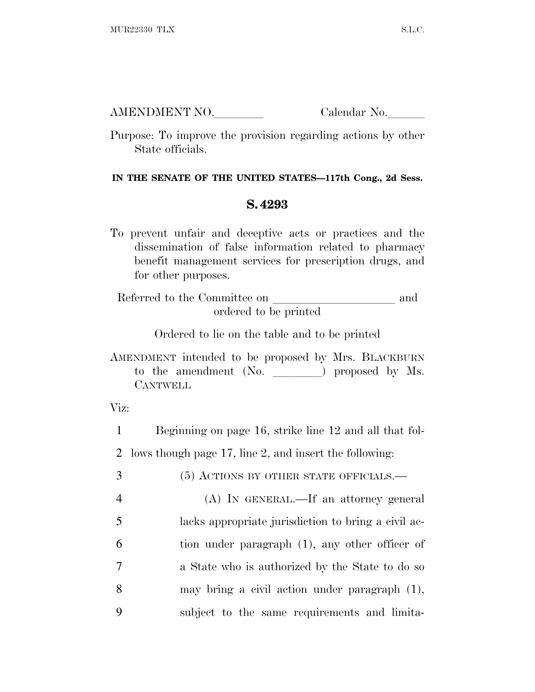AMENDMENT NO. Calendar No.

Purpose: To improve the provision regarding actions by other State officials.

## **IN THE SENATE OF THE UNITED STATES—117th Cong., 2d Sess.**

## **S. 4293**

To prevent unfair and deceptive acts or practices and the dissemination of false information related to pharmacy benefit management services for prescription drugs, and for other purposes.

Referred to the Committee on and ordered to be printed

Ordered to lie on the table and to be printed

AMENDMENT intended to be proposed by Mrs. BLACKBURN to the amendment (No. ) proposed by Ms. **CANTWELL** 

Viz:

1 Beginning on page 16, strike line 12 and all that fol-2 lows though page 17, line 2, and insert the following:

 (5) ACTIONS BY OTHER STATE OFFICIALS.— (A) IN GENERAL.—If an attorney general lacks appropriate jurisdiction to bring a civil ac- tion under paragraph (1), any other officer of a State who is authorized by the State to do so may bring a civil action under paragraph (1), subject to the same requirements and limita